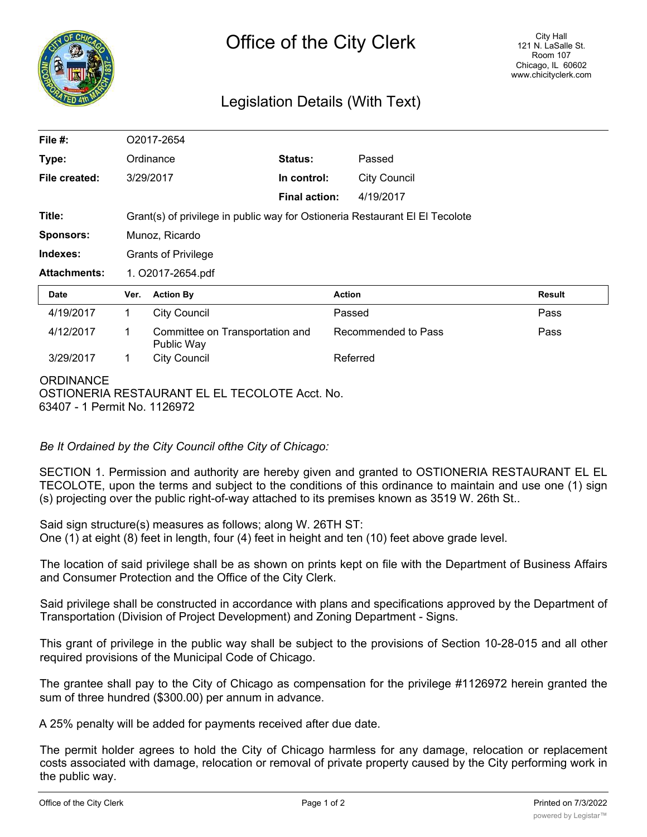

## Legislation Details (With Text)

| File $#$ :          | O2017-2654                                                                   |                                               |                      |                     |               |
|---------------------|------------------------------------------------------------------------------|-----------------------------------------------|----------------------|---------------------|---------------|
| Type:               |                                                                              | Ordinance                                     | Status:              | Passed              |               |
| File created:       |                                                                              | 3/29/2017                                     | In control:          | <b>City Council</b> |               |
|                     |                                                                              |                                               | <b>Final action:</b> | 4/19/2017           |               |
| Title:              | Grant(s) of privilege in public way for Ostioneria Restaurant El El Tecolote |                                               |                      |                     |               |
| <b>Sponsors:</b>    | Munoz, Ricardo                                                               |                                               |                      |                     |               |
| Indexes:            | <b>Grants of Privilege</b>                                                   |                                               |                      |                     |               |
| <b>Attachments:</b> | 1. O2017-2654.pdf                                                            |                                               |                      |                     |               |
| <b>Date</b>         | Ver.                                                                         | <b>Action By</b>                              |                      | <b>Action</b>       | <b>Result</b> |
| 4/19/2017           | 1                                                                            | <b>City Council</b>                           |                      | Passed              | Pass          |
| 4/12/2017           | 1                                                                            | Committee on Transportation and<br>Public Way |                      | Recommended to Pass | Pass          |
| 3/29/2017           | 1                                                                            | <b>City Council</b>                           |                      | Referred            |               |
| <b>ODDINIANCE</b>   |                                                                              |                                               |                      |                     |               |

ORDINANCE

OSTIONERIA RESTAURANT EL EL TECOLOTE Acct. No. 63407 - 1 Permit No. 1126972

*Be It Ordained by the City Council ofthe City of Chicago:*

SECTION 1. Permission and authority are hereby given and granted to OSTIONERIA RESTAURANT EL EL TECOLOTE, upon the terms and subject to the conditions of this ordinance to maintain and use one (1) sign (s) projecting over the public right-of-way attached to its premises known as 3519 W. 26th St..

Said sign structure(s) measures as follows; along W. 26TH ST: One (1) at eight (8) feet in length, four (4) feet in height and ten (10) feet above grade level.

The location of said privilege shall be as shown on prints kept on file with the Department of Business Affairs and Consumer Protection and the Office of the City Clerk.

Said privilege shall be constructed in accordance with plans and specifications approved by the Department of Transportation (Division of Project Development) and Zoning Department - Signs.

This grant of privilege in the public way shall be subject to the provisions of Section 10-28-015 and all other required provisions of the Municipal Code of Chicago.

The grantee shall pay to the City of Chicago as compensation for the privilege #1126972 herein granted the sum of three hundred (\$300.00) per annum in advance.

A 25% penalty will be added for payments received after due date.

The permit holder agrees to hold the City of Chicago harmless for any damage, relocation or replacement costs associated with damage, relocation or removal of private property caused by the City performing work in the public way.